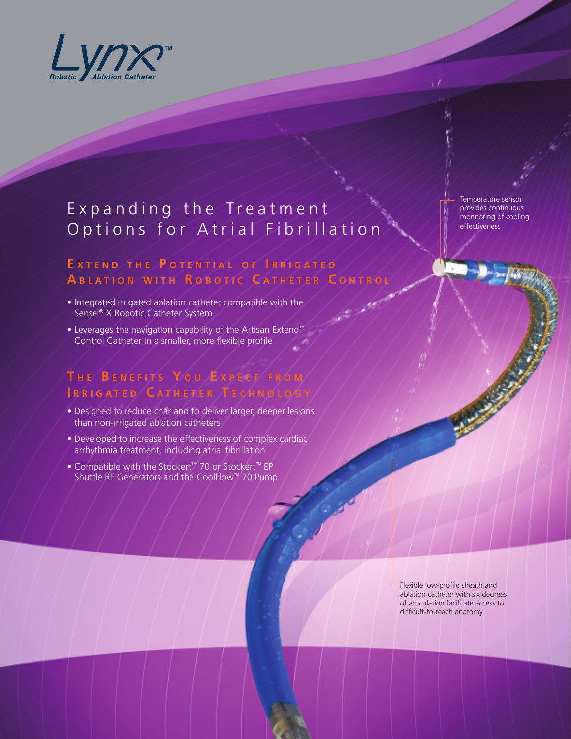

# Expanding the Treatment Options for Atrial Fibrillation

## EXTEND THE POTENTIAL OF IRRIGATED **A b l a t i o n w i t h R o b o t i c C a t h <sup>e</sup> <sup>t</sup> <sup>e</sup> <sup>r</sup> C o n t r o l**

- Integrated irrigated ablation catheter compatible with the Sensei® X Robotic Catheter System
- Leverages the navigation capability of the Artisan Extend™ Control Catheter in a smaller, more flexible profile

#### **T <sup>h</sup> <sup>e</sup> B <sup>e</sup> <sup>n</sup> <sup>e</sup> f i t s Y o u E <sup>x</sup> pe c t f r o m I r r i g a t <sup>e</sup> <sup>d</sup> C a t h <sup>e</sup> <sup>t</sup> <sup>e</sup> <sup>r</sup> T <sup>e</sup> c h n o l o g <sup>y</sup>**

- Designed to reduce char and to deliver larger, deeper lesions than non-irrigated ablation catheters
- Developed to increase the effectiveness of complex cardiac arrhythmia treatment, including atrial fibrillation
- Compatible with the Stockert™ 70 or Stockert™ EP Shuttle RF Generators and the CoolFlow™ 70 Pump

Temperature sensor provides continuous monitoring of cooling effectiveness

Flexible low-profile sheath and ablation catheter with six degrees of articulation facilitate access to difficult-to-reach anatomy